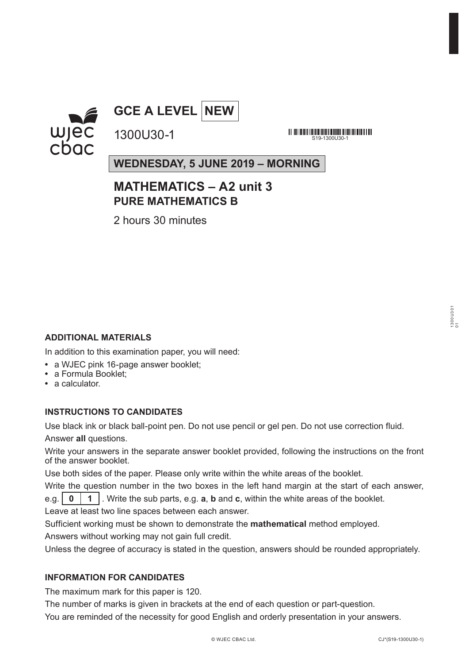



<u> 111 | 131 | 132 | 133 | 133 | 133 | 133 | 133 | 133 | 134 | 135 | 136 | 137 | 138 | 13</u> S19-1300U30-1

**WEDNESDAY, 5 JUNE 2019 – MORNING**

### **MATHEMATICS – A2 unit 3 PURE MATHEMATICS B**

2 hours 30 minutes

1300U30-1

#### **ADDITIONAL MATERIALS**

In addition to this examination paper, you will need:

- **•** a WJEC pink 16-page answer booklet;
- **•** a Formula Booklet;
- **•** a calculator.

#### **INSTRUCTIONS TO CANDIDATES**

Use black ink or black ball-point pen. Do not use pencil or gel pen. Do not use correction fluid. Answer **all** questions.

Write your answers in the separate answer booklet provided, following the instructions on the front of the answer booklet.

Use both sides of the paper. Please only write within the white areas of the booklet.

Write the question number in the two boxes in the left hand margin at the start of each answer, e.g. **0 1** . Write the sub parts, e.g. **a**, **b** and **c**, within the white areas of the booklet.

Leave at least two line spaces between each answer.

Sufficient working must be shown to demonstrate the **mathematical** method employed. Answers without working may not gain full credit.

Unless the degree of accuracy is stated in the question, answers should be rounded appropriately.

#### **INFORMATION FOR CANDIDATES**

The maximum mark for this paper is 120.

The number of marks is given in brackets at the end of each question or part-question.

You are reminded of the necessity for good English and orderly presentation in your answers.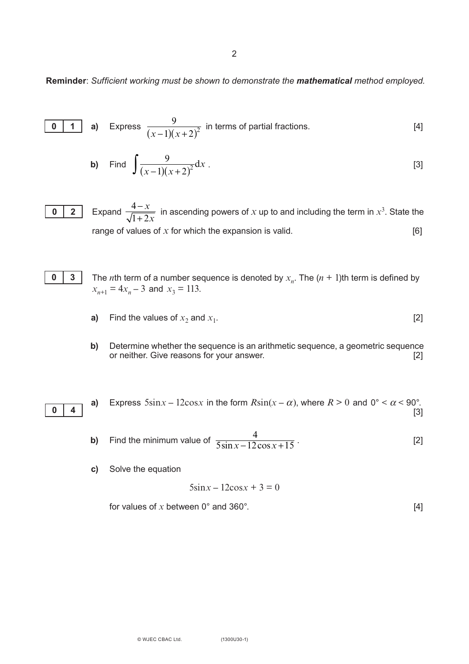2

#### **Reminder**: *Sufficient working must be shown to demonstrate the mathematical method employed.*

$$
\begin{array}{|c|c|c|c|c|}\n\hline\n\text{0} & \text{1} & \text{a} \\
\hline\n\text{0} & \text{1} & \text{a} \\
\hline\n\end{array}\n\text{ Express } \frac{9}{(x-1)(x+2)^2} \text{ in terms of partial fractions.}
$$

**b)** Find 
$$
\int \frac{9}{(x-1)(x+2)^2} dx
$$
. [3]

Expand  $\frac{4-x}{\sqrt{1+2x}}$  in ascending powers of *x* up to and including the term in  $x^3$ . State the range of values of  $x$  for which the expansion is valid.  $[6]$ **0 2**  $1 + 2x$ 



- The *n*th term of a number sequence is denoted by  $x_n$ . The  $(n + 1)$ th term is defined by  $x_{n+1} = 4x_n - 3$  and  $x_3 = 113$ .
- **a)** Find the values of  $x_2$  and  $x_1$ . [2]
- **b)** Determine whether the sequence is an arithmetic sequence, a geometric sequence or neither. Give reasons for your answer. or neither. Give reasons for your answer.

0  $|4$ 

**a)** Express  $5\sin x - 12\cos x$  in the form  $R\sin(x - \alpha)$ , where  $R > 0$  and  $0^\circ < \alpha < 90^\circ$ . [3]

- **b)** Find the minimum value of  $\frac{4}{5 \sin x 12 \cos x + 15}$ . [2]  $5\sin x - 12\cos x + 15$
- **c)** Solve the equation

$$
5\sin x - 12\cos x + 3 = 0
$$

for values of 
$$
x
$$
 between  $0^\circ$  and  $360^\circ$ . [4]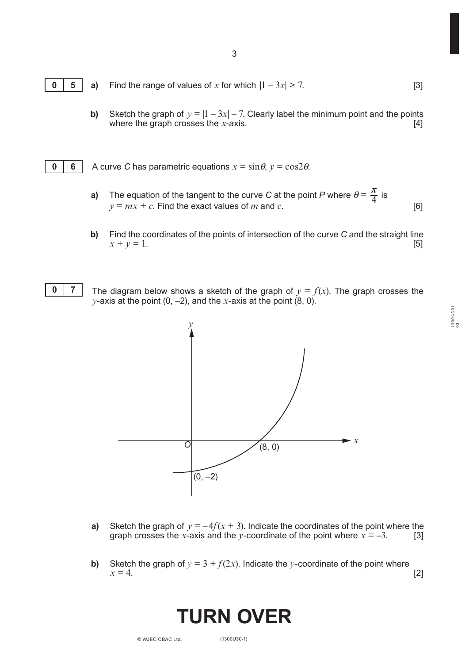3

- **0 5 a)** Find the range of values of *x* for which  $|1 - 3x| > 7$ . [3]
	- **b)** Sketch the graph of  $y = |1 3x| 7$ . Clearly label the minimum point and the points where the graph crosses the *x*-axis. [4]
- **0 6** A curve *C* has parametric equations  $x = \sin \theta$ ,  $y = \cos 2\theta$ .
	- π **a)** The equation of the tangent to the curve *C* at the point *P* where  $\theta = \frac{\pi}{4}$  is  $y = mx + c$ . Find the exact values of *m* and *c*.
	- **b)** Find the coordinates of the points of intersection of the curve *C* and the straight line  $x + y = 1.$  [5]



The diagram below shows a sketch of the graph of  $y = f(x)$ . The graph crosses the *y*-axis at the point  $(0, -2)$ , and the *x*-axis at the point  $(8, 0)$ .



- **a)** Sketch the graph of  $y = -4f(x + 3)$ . Indicate the coordinates of the point where the graph crosses the *x*-axis and the *y*-coordinate of the point where  $x = -3$ . [3]
- **b)** Sketch the graph of  $y = 3 + f(2x)$ . Indicate the *y*-coordinate of the point where  $x = 4$ .  $x = 4.$  [2]

## **TURN OVER**

1300U301  $1300U301$ <br> $03$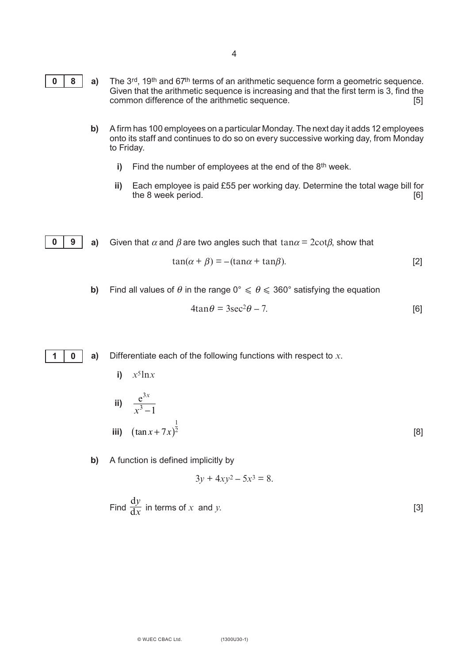- **0 8 a)** The 3<sup>rd</sup>, 19<sup>th</sup> and 67<sup>th</sup> terms of an arithmetic sequence form a geometric sequence. Given that the arithmetic sequence is increasing and that the first term is 3, find the common difference of the arithmetic sequence. [5]
	- **b)** A firm has 100 employees on a particular Monday. The next day it adds 12 employees onto its staff and continues to do so on every successive working day, from Monday to Friday.
		- **i)** Find the number of employees at the end of the 8<sup>th</sup> week.
		- **ii)** Each employee is paid £55 per working day. Determine the total wage bill for the 8 week period. the 8 week period.
- **0 9 a)** Given that  $\alpha$  and  $\beta$  are two angles such that tan $\alpha = 2cot\beta$ , show that

$$
\tan(\alpha + \beta) = -(\tan\alpha + \tan\beta). \tag{2}
$$

**b)** Find all values of  $\theta$  in the range  $0^\circ \le \theta \le 360^\circ$  satisfying the equation

$$
4\tan\theta = 3\sec^2\theta - 7. \tag{6}
$$

**1 0**

**a)** Differentiate each of the following functions with respect to *x*.

- **i)**  $x^5$ ln*x*
- $e^{3x}$  $\frac{c}{x^3 - 1}$ **iii)**  $(\tan x + 7x)^2$  [8] 1 2
- **b)** A function is defined implicitly by

$$
3y + 4xy^2 - 5x^3 = 8.
$$

Find 
$$
\frac{dy}{dx}
$$
 in terms of x and y. [3]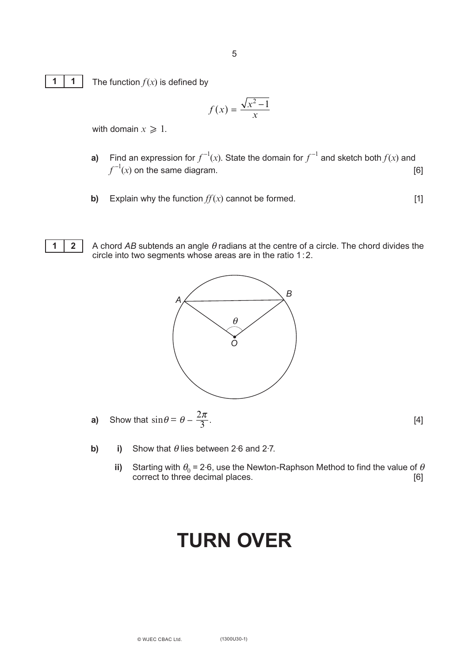

The function  $f(x)$  is defined by

$$
f(x) = \frac{\sqrt{x^2 - 1}}{x}
$$

with domain  $x \geqslant 1$ .

- **a)** Find an expression for  $f^{-1}(x)$ . State the domain for  $f^{-1}$  and sketch both  $f(x)$  and  $f^{-1}(x)$  on the same diagram.  $[6]$ 
	- **b)** Explain why the function  $ff(x)$  cannot be formed. [1]



A chord *AB* subtends an angle θ radians at the centre of a circle. The chord divides the circle into two segments whose areas are in the ratio 1:2.



**a)** Show that 
$$
\sin \theta = \theta - \frac{2\pi}{3}
$$
. [4]

- **b) i)** Show that  $\theta$  lies between 2.6 and 2.7.
	- **ii)** Starting with  $\theta_0 = 2.6$ , use the Newton-Raphson Method to find the value of  $\theta$ correct to three decimal places. [6]

### **TURN OVER**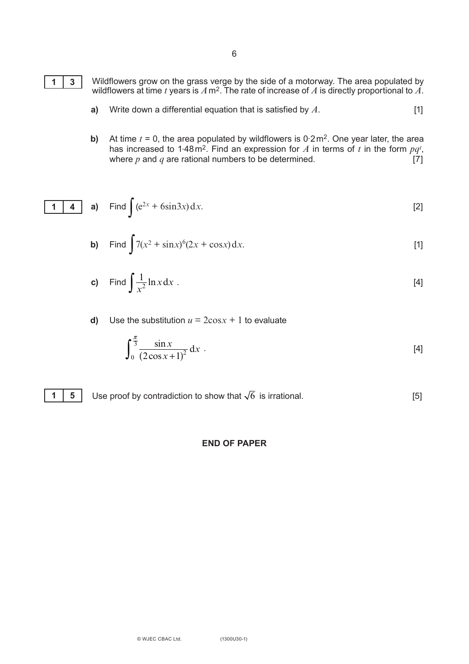

- Wildflowers grow on the grass verge by the side of a motorway. The area populated by wildflowers at time  $t$  years is  $A$  m<sup>2</sup>. The rate of increase of  $A$  is directly proportional to  $A.$
- **a)** Write down a differential equation that is satisfied by  $A$ . [1]
- **b)** At time  $t = 0$ , the area populated by wildflowers is  $0.2 \text{ m}^2$ . One year later, the area has increased to 1.48 m<sup>2</sup>. Find an expression for  $A$  in terms of  $t$  in the form  $pq^t$ , where *p* and *q* are rational numbers to be determined. [7]

**1 4 a)** Find 
$$
\int (e^{2x} + 6\sin 3x) dx
$$
. [2]

**b)** Find 
$$
\int 7(x^2 + \sin x)^6 (2x + \cos x) dx
$$
. [1]

c) Find 
$$
\int \frac{1}{x^2} \ln x \, dx
$$
 [4]

**d)** Use the substitution  $u = 2\cos x + 1$  to evaluate

 $\epsilon$ 

$$
\int_0^{\frac{\pi}{3}} \frac{\sin x}{(2\cos x + 1)^2} dx
$$
 [4]

**1 5** Use proof by contradiction to show that  $\sqrt{6}$  is irrational.  $[5]$ 

#### **END OF PAPER**